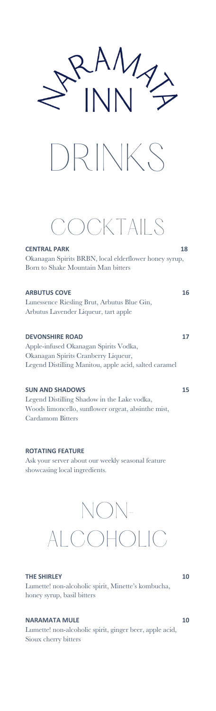



## COCKTAILS

**CENTRAL PARK 18** Okanagan Spirits BRBN, local elderflower honey syrup, Born to Shake Mountain Man bitters

### **ARBUTUS COVE 16** Lunessence Riesling Brut, Arbutus Blue Gin, Arbutus Lavender Liqueur, tart apple **DEVONSHIRE ROAD** 17

Apple-infused Okanagan Spirits Vodka, Okanagan Spirits Cranberry Liqueur, Legend Distilling Manitou, apple acid, salted caramel

### **SUN AND SHADOWS 15**

Legend Distilling Shadow in the Lake vodka, Woods limoncello, sunflower orgeat, absinthe mist, Cardamom Bitters

**ROTATING FEATURE**  Ask your server about our weekly seasonal feature showcasing local ingredients.

# NON-ALCOHOLIC

### **THE SHIRLEY 10**

Lumette! non-alcoholic spirit, Minette's kombucha, honey syrup, basil bitters

### **NARAMATA MULE** 10

Lumette! non-alcoholic spirit, ginger beer, apple acid, Sioux cherry bitters